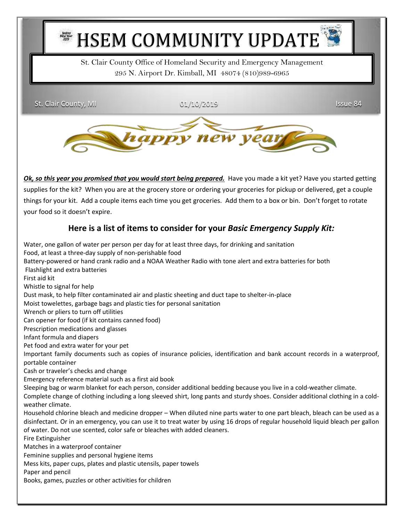

St. Clair County Office of Homeland Security and Emergency Management 295 N. Airport Dr. Kimball, MI 48074 (810)989-6965

St. Clair County, MI 01/10/2019 Issue 84



*Ok, so this year you promised that you would start being prepared.* Have you made a kit yet? Have you started getting supplies for the kit? When you are at the grocery store or ordering your groceries for pickup or delivered, get a couple things for your kit. Add a couple items each time you get groceries. Add them to a box or bin. Don't forget to rotate your food so it doesn't expire.

## **Here is a list of items to consider for your** *Basic Emergency Supply Kit:*

Water, one gallon of water per person per day for at least three days, for drinking and sanitation Food, at least a three-day supply of non-perishable food Battery-powered or hand crank radio and a NOAA Weather Radio with tone alert and extra batteries for both Flashlight and extra batteries First aid kit Whistle to signal for help Dust mask, to help filter contaminated air and plastic sheeting and duct tape to shelter-in-place Moist towelettes, garbage bags and plastic ties for personal sanitation Wrench or pliers to turn off utilities Can opener for food (if kit contains canned food) Prescription medications and glasses Infant formula and diapers Pet food and extra water for your pet Important family documents such as copies of insurance policies, identification and bank account records in a waterproof, portable container Cash or traveler's checks and change Emergency reference material such as a first aid book Sleeping bag or warm blanket for each person, consider additional bedding because you live in a cold-weather climate. Complete change of clothing including a long sleeved shirt, long pants and sturdy shoes. Consider additional clothing in a coldweather climate. Household chlorine bleach and medicine dropper – When diluted nine parts water to one part bleach, bleach can be used as a disinfectant. Or in an emergency, you can use it to treat water by using 16 drops of regular household liquid bleach per gallon of water. Do not use scented, color safe or bleaches with added cleaners. Fire Extinguisher Matches in a waterproof container Feminine supplies and personal hygiene items Mess kits, paper cups, plates and plastic utensils, paper towels Paper and pencil Books, games, puzzles or other activities for children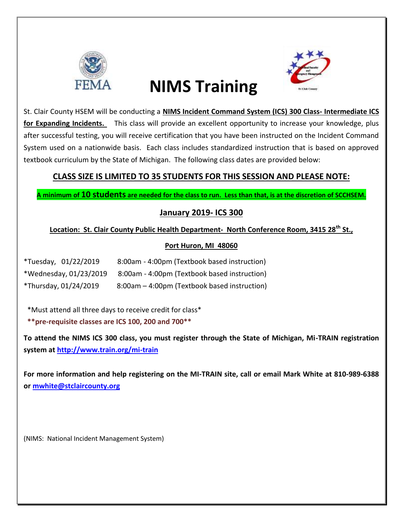

# **NIMS Training**



St. Clair County HSEM will be conducting a **NIMS Incident Command System (ICS) 300 Class- Intermediate ICS for Expanding Incidents.** This class will provide an excellent opportunity to increase your knowledge, plus after successful testing, you will receive certification that you have been instructed on the Incident Command System used on a nationwide basis. Each class includes standardized instruction that is based on approved textbook curriculum by the State of Michigan. The following class dates are provided below:

## **CLASS SIZE IS LIMITED TO 35 STUDENTS FOR THIS SESSION AND PLEASE NOTE:**

**A minimum of 10 students are needed for the class to run. Less than that, is at the discretion of SCCHSEM.**

## **January 2019- ICS 300**

## **Location: St. Clair County Public Health Department- North Conference Room, 3415 28th St.,**

### **Port Huron, MI 48060**

| *Tuesday, 01/22/2019   | 8:00am - 4:00pm (Textbook based instruction) |
|------------------------|----------------------------------------------|
| *Wednesday, 01/23/2019 | 8:00am - 4:00pm (Textbook based instruction) |
| *Thursday, 01/24/2019  | 8:00am – 4:00pm (Textbook based instruction) |

\*Must attend all three days to receive credit for class\*

**\*\*pre-requisite classes are ICS 100, 200 and 700\*\***

**To attend the NIMS ICS 300 class, you must register through the State of Michigan, Mi-TRAIN registration system at<http://www.train.org/mi-train>**

**For more information and help registering on the MI-TRAIN site, call or email Mark White at 810-989-6388 or [mwhite@stclaircounty.org](mailto:mwhite@stclaircounty.org)**

(NIMS: National Incident Management System)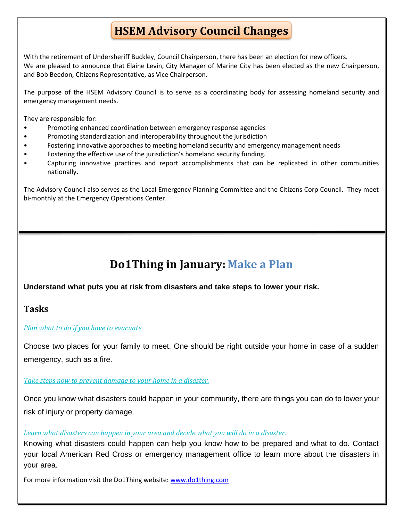## **HSEM Advisory Council Changes**

With the retirement of Undersheriff Buckley, Council Chairperson, there has been an election for new officers. We are pleased to announce that Elaine Levin, City Manager of Marine City has been elected as the new Chairperson, and Bob Beedon, Citizens Representative, as Vice Chairperson.

The purpose of the HSEM Advisory Council is to serve as a coordinating body for assessing homeland security and emergency management needs.

They are responsible for:

- Promoting enhanced coordination between emergency response agencies
- Promoting standardization and interoperability throughout the jurisdiction
- Fostering innovative approaches to meeting homeland security and emergency management needs
- Fostering the effective use of the jurisdiction's homeland security funding.
- Capturing innovative practices and report accomplishments that can be replicated in other communities nationally.

The Advisory Council also serves as the Local Emergency Planning Committee and the Citizens Corp Council. They meet bi-monthly at the Emergency Operations Center.

## **Do1Thing in January: Make a Plan**

#### **Understand what puts you at risk from disasters and take steps to lower your risk.**

### **Tasks**

#### *[Plan what to do if you have to evacuate.](https://do1thing.us9.list-manage.com/track/click?u=035ce122cd759f1206d70dbbc&id=5241ed7851&e=1e1dda77ee)*

Choose two places for your family to meet. One should be right outside your home in case of a sudden emergency, such as a fire.

#### *[Take steps now to prevent damage to your home in a disaster.](https://do1thing.us9.list-manage.com/track/click?u=035ce122cd759f1206d70dbbc&id=7ce330cccc&e=1e1dda77ee)*

Once you know what disasters could happen in your community, there are things you can do to lower your risk of injury or property damage.

#### *[Learn what disasters can happen in your area and decide what you will do in a disaster.](https://do1thing.us9.list-manage.com/track/click?u=035ce122cd759f1206d70dbbc&id=90c5ca9d52&e=1e1dda77ee)*

Knowing what disasters could happen can help you know how to be prepared and what to do. Contact your local American Red Cross or emergency management office to learn more about the disasters in your area.

For more information visit the Do1Thing website: [www.do1thing.com](http://www.do1thing.com/)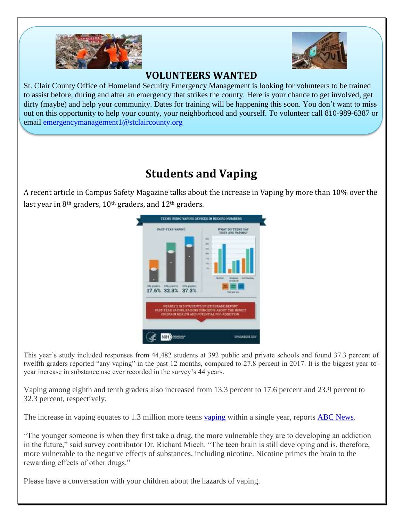



## **VOLUNTEERS WANTED**

St. Clair County Office of Homeland Security Emergency Management is looking for volunteers to be trained to assist before, during and after an emergency that strikes the county. Here is your chance to get involved, get dirty (maybe) and help your community. Dates for training will be happening this soon. You don't want to miss out on this opportunity to help your county, your neighborhood and yourself. To volunteer call 810-989-6387 or email [emergencymanagement1@stclaircounty.org](mailto:emergencymanagement1@stclaircounty.org)

## **Students and Vaping**

A recent article in Campus Safety Magazine talks about the increase in Vaping by more than 10% over the last year in 8<sup>th</sup> graders, 10<sup>th</sup> graders, and 12<sup>th</sup> graders.



This year's study included responses from 44,482 students at 392 public and private schools and found 37.3 percent of twelfth graders reported "any vaping" in the past 12 months, compared to 27.8 percent in 2017. It is the biggest year-toyear increase in substance use ever recorded in the survey's 44 years.

Vaping among eighth and tenth graders also increased from 13.3 percent to 17.6 percent and 23.9 percent to 32.3 percent, respectively.

The increase in [vaping](https://www.campussafetymagazine.com/tag/vaping/) equates to 1.3 million more teens vaping within a single year, reports [ABC News.](https://abcnews.go.com/Health/teen-vaping-rise-substances-remains-steady-declines-survey/story?id=59839320)

"The younger someone is when they first take a drug, the more vulnerable they are to developing an addiction in the future," said survey contributor Dr. Richard Miech. "The teen brain is still developing and is, therefore, more vulnerable to the negative effects of substances, including nicotine. Nicotine primes the brain to the rewarding effects of other drugs."

Please have a conversation with your children about the hazards of vaping.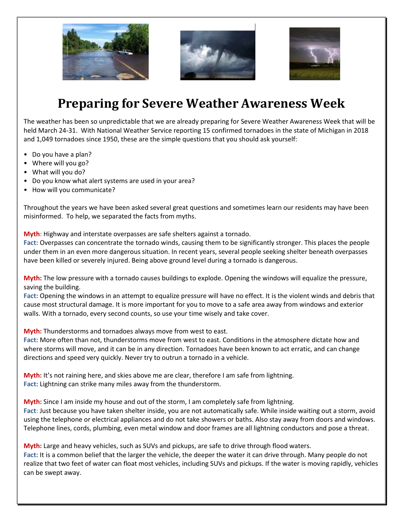





## **Preparing for Severe Weather Awareness Week**

The weather has been so unpredictable that we are already preparing for Severe Weather Awareness Week that will be held March 24-31. With National Weather Service reporting 15 confirmed tornadoes in the state of Michigan in 2018 and 1,049 tornadoes since 1950, these are the simple questions that you should ask yourself:

- Do you have a plan?
- Where will you go?
- What will you do?
- Do you know what alert systems are used in your area?
- How will you communicate?

Throughout the years we have been asked several great questions and sometimes learn our residents may have been misinformed. To help, we separated the facts from myths.

**Myth**: Highway and interstate overpasses are safe shelters against a tornado.

**Fact:** Overpasses can concentrate the tornado winds, causing them to be significantly stronger. This places the people under them in an even more dangerous situation. In recent years, several people seeking shelter beneath overpasses have been killed or severely injured. Being above ground level during a tornado is dangerous.

**Myth:** The low pressure with a tornado causes buildings to explode. Opening the windows will equalize the pressure, saving the building.

**Fact:** Opening the windows in an attempt to equalize pressure will have no effect. It is the violent winds and debris that cause most structural damage. It is more important for you to move to a safe area away from windows and exterior walls. With a tornado, every second counts, so use your time wisely and take cover.

**Myth:** Thunderstorms and tornadoes always move from west to east.

**Fact:** More often than not, thunderstorms move from west to east. Conditions in the atmosphere dictate how and where storms will move, and it can be in any direction. Tornadoes have been known to act erratic, and can change directions and speed very quickly. Never try to outrun a tornado in a vehicle.

**Myth:** It's not raining here, and skies above me are clear, therefore I am safe from lightning. **Fact:** Lightning can strike many miles away from the thunderstorm.

**Myth:** Since I am inside my house and out of the storm, I am completely safe from lightning. **Fact**: Just because you have taken shelter inside, you are not automatically safe. While inside waiting out a storm, avoid using the telephone or electrical appliances and do not take showers or baths. Also stay away from doors and windows. Telephone lines, cords, plumbing, even metal window and door frames are all lightning conductors and pose a threat.

**Myth:** Large and heavy vehicles, such as SUVs and pickups, are safe to drive through flood waters. **Fact:** It is a common belief that the larger the vehicle, the deeper the water it can drive through. Many people do not realize that two feet of water can float most vehicles, including SUVs and pickups. If the water is moving rapidly, vehicles can be swept away.